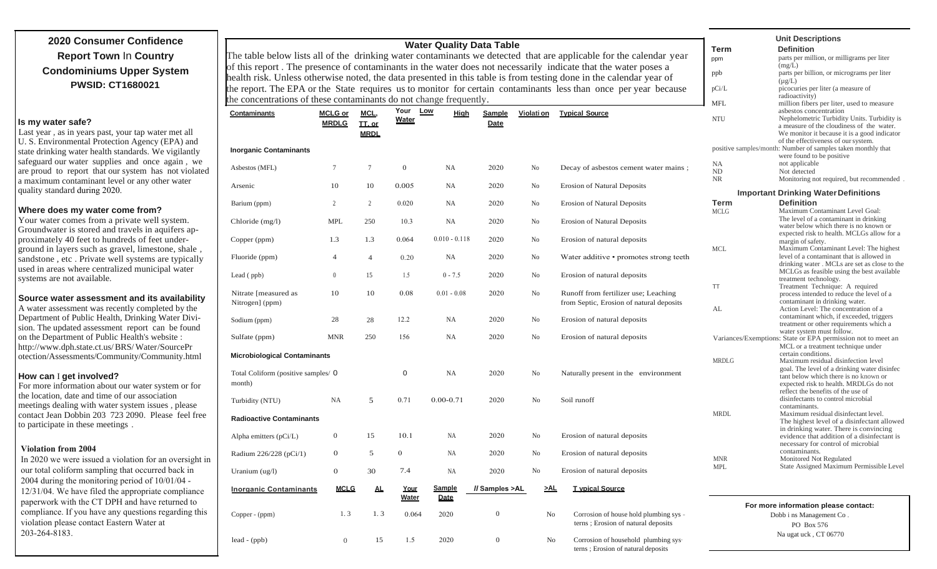## **2020 Consumer Confidence Report Town** In **Country Condominiums Upper System PWSID: CT1680021**

#### **Is my water safe?**

Last year , as in years past, your tap water met all U. S. Environmental Protection Agency (EPA) and state drinking water health standards. We vigilantly safeguard our water supplies and once again , we are proud to report that our system has not violated a maximum contaminant level or any other water quality standard during 2020.

#### **Where does my water come from?**

Your water comes from a private well system. Groundwater is stored and travels in aquifers approximately 40 feet to hundreds of feet underground in layers such as gravel, limestone, shale , sandstone , etc . Private well systems are typically used in areas where centralized municipal water systems are not available.

#### **Source water assessment and its availability**

A water assessment was recently completed by the Department of Public Health, Drinking Water Division. The updated assessment report can be found on the Department of Public Health's website : http:/[/ www.d](http://www/)ph.state.ct.us/ BRS/ Water /SourcePr otection/Assessments/Community/Community.html

#### **How can** I **get involved?**

For more information about our water system or for the location, date and time of our association meetings dealing with water system issues , please contact Jean Dobbin 203 723 2090. Please feel free to participate in these meetings .

#### **Violation from 2004**

In 2020 we were issued a violation for an oversight in our total coliform sampling that occurred back in 2004 during the monitoring period of 10/01/04 - 12/31/04. We have filed the appropriate compliance paperwork with the CT DPH and have returned to compliance. If you have any questions regarding this violation please contact Eastern Water at 203-264-8183.

| <b>Water Quality Data Table</b>                                                                                    |                |                |                      |                              |                  |                   |                                                                                                                  | <b>Unit Descriptions</b> |                                                                                          |
|--------------------------------------------------------------------------------------------------------------------|----------------|----------------|----------------------|------------------------------|------------------|-------------------|------------------------------------------------------------------------------------------------------------------|--------------------------|------------------------------------------------------------------------------------------|
|                                                                                                                    |                |                |                      |                              |                  |                   |                                                                                                                  | Term                     | <b>Definition</b>                                                                        |
| The table below lists all of the drinking water contaminants we detected that are applicable for the calendar year |                |                |                      |                              |                  |                   |                                                                                                                  | ppm                      | parts per million, or milligrams per liter                                               |
| of this report. The presence of contaminants in the water does not necessarily indicate that the water poses a     |                |                |                      |                              |                  |                   |                                                                                                                  |                          | (mg/L)                                                                                   |
| health risk. Unless otherwise noted, the data presented in this table is from testing done in the calendar year of |                |                |                      |                              |                  |                   |                                                                                                                  | ppb                      | parts per billion, or micrograms per liter                                               |
|                                                                                                                    |                |                |                      |                              |                  |                   | the report. The EPA or the State requires us to monitor for certain contaminants less than once per year because | pCi/L                    | $(\mu g/L)$<br>picocuries per liter (a measure of                                        |
|                                                                                                                    |                |                |                      |                              |                  |                   |                                                                                                                  |                          | radioactivity)                                                                           |
| the concentrations of these contaminants do not change frequently.                                                 |                |                |                      |                              |                  |                   |                                                                                                                  | <b>MFL</b>               | million fibers per liter, used to measure                                                |
| <b>Contaminants</b>                                                                                                | <b>MCLG or</b> | MCL,           | Your                 | Low<br>Hiah                  | Sample           | <u>Violati on</u> | <b>Typical Source</b>                                                                                            |                          | asbestos concentration                                                                   |
|                                                                                                                    | <b>MRDLG</b>   | II. or         | <b>Water</b>         |                              | <b>Date</b>      |                   |                                                                                                                  | <b>NTU</b>               | Nephelometric Turbidity Units. Turbidity is<br>a measure of the cloudiness of the water. |
|                                                                                                                    |                | <b>MRDL</b>    |                      |                              |                  |                   |                                                                                                                  |                          | We monitor it because it is a good indicator                                             |
|                                                                                                                    |                |                |                      |                              |                  |                   |                                                                                                                  |                          | of the effectiveness of our system.                                                      |
| <b>Inorganic Contaminants</b>                                                                                      |                |                |                      |                              |                  |                   |                                                                                                                  |                          | positive samples/month: Number of samples taken monthly that                             |
|                                                                                                                    |                |                |                      |                              |                  |                   |                                                                                                                  |                          | were found to be positive                                                                |
| Asbestos (MFL)                                                                                                     | $\tau$         | $\tau$         | $\boldsymbol{0}$     | NA                           | 2020             | No                | Decay of asbestos cement water mains;                                                                            | NA<br>ND                 | not applicable<br>Not detected                                                           |
|                                                                                                                    |                |                |                      |                              |                  |                   |                                                                                                                  | <b>NR</b>                | Monitoring not required, but recommended                                                 |
| Arsenic                                                                                                            | 10             | 10             | 0.005                | NA.                          | 2020             | No                | <b>Erosion of Natural Deposits</b>                                                                               |                          |                                                                                          |
|                                                                                                                    |                |                |                      |                              |                  |                   |                                                                                                                  |                          | <b>Important Drinking Water Definitions</b>                                              |
| Barium (ppm)                                                                                                       | $\overline{c}$ | $\overline{2}$ | 0.020                | NA                           | 2020             | No                | <b>Erosion of Natural Deposits</b>                                                                               | Term                     | <b>Definition</b>                                                                        |
|                                                                                                                    |                |                |                      |                              |                  |                   |                                                                                                                  | <b>MCLG</b>              | Maximum Contaminant Level Goal:                                                          |
| Chloride $(mg/l)$                                                                                                  | <b>MPL</b>     | 250            | 10.3                 | NA                           | 2020             | No                | <b>Erosion of Natural Deposits</b>                                                                               |                          | The level of a contaminant in drinking                                                   |
|                                                                                                                    |                |                |                      |                              |                  |                   |                                                                                                                  |                          | water below which there is no known or<br>expected risk to health. MCLGs allow for a     |
| Copper (ppm)                                                                                                       | 1.3            | 1.3            | 0.064                | $0.010 - 0.118$              | 2020             | No                | Erosion of natural deposits                                                                                      |                          | margin of safety.                                                                        |
|                                                                                                                    |                |                |                      |                              |                  |                   |                                                                                                                  | <b>MCL</b>               | Maximum Contaminant Level: The highest                                                   |
| Fluoride (ppm)                                                                                                     | 4              | $\overline{4}$ | 0.20                 | NA                           | 2020             | No                | Water additive • promotes strong teeth                                                                           |                          | level of a contaminant that is allowed in                                                |
|                                                                                                                    |                |                |                      |                              |                  |                   |                                                                                                                  |                          | drinking water. MCLs are set as close to the                                             |
| Lead (ppb)                                                                                                         | $\overline{0}$ | 15             | 1.5                  | $0 - 7.5$                    | 2020             | No                | Erosion of natural deposits                                                                                      |                          | MCLGs as feasible using the best available                                               |
|                                                                                                                    |                |                |                      |                              |                  |                   |                                                                                                                  | TT                       | treatment technology.<br>Treatment Technique: A required                                 |
| Nitrate [measured as                                                                                               | 10             | 10             | 0.08                 | $0.01 - 0.08$                | 2020             | No                | Runoff from fertilizer use; Leaching                                                                             |                          | process intended to reduce the level of a                                                |
| Nitrogen] (ppm)                                                                                                    |                |                |                      |                              |                  |                   | from Septic, Erosion of natural deposits                                                                         |                          | contaminant in drinking water.                                                           |
|                                                                                                                    |                |                |                      |                              |                  |                   |                                                                                                                  | AL                       | Action Level: The concentration of a                                                     |
| Sodium (ppm)                                                                                                       | 28             | 28             | 12.2                 | NA                           | 2020             | No                | Erosion of natural deposits                                                                                      |                          | contaminant which, if exceeded, triggers                                                 |
|                                                                                                                    |                |                |                      |                              |                  |                   |                                                                                                                  |                          | treatment or other requirements which a<br>water system must follow.                     |
| Sulfate (ppm)                                                                                                      | <b>MNR</b>     | 250            | 156                  | NA                           | 2020             | No                | Erosion of natural deposits                                                                                      |                          | Variances/Exemptions: State or EPA permission not to meet an                             |
|                                                                                                                    |                |                |                      |                              |                  |                   |                                                                                                                  |                          | MCL or a treatment technique under                                                       |
| <b>Microbiological Contaminants</b>                                                                                |                |                |                      |                              |                  |                   |                                                                                                                  | certain conditions.      |                                                                                          |
|                                                                                                                    |                |                |                      |                              |                  | <b>MRDLG</b>      | Maximum residual disinfection level                                                                              |                          |                                                                                          |
| Total Coliform (positive samples/ 0                                                                                |                |                | $\mathbf 0$          | <b>NA</b>                    | 2020             | No                | Naturally present in the environment                                                                             |                          | goal. The level of a drinking water disinfec<br>tant below which there is no known or    |
| month)                                                                                                             |                |                |                      |                              |                  |                   |                                                                                                                  |                          | expected risk to health. MRDLGs do not                                                   |
|                                                                                                                    |                |                |                      |                              |                  |                   |                                                                                                                  |                          | reflect the benefits of the use of                                                       |
| Turbidity (NTU)                                                                                                    | NA             | 5              | 0.71                 | $0.00 - 0.71$                | 2020             | N <sub>o</sub>    | Soil runoff                                                                                                      |                          | disinfectants to control microbial                                                       |
|                                                                                                                    |                |                |                      |                              |                  |                   |                                                                                                                  | <b>MRDL</b>              | contaminants.<br>Maximum residual disinfectant level.                                    |
| <b>Radioactive Contaminants</b>                                                                                    |                |                |                      |                              |                  |                   |                                                                                                                  |                          | The highest level of a disinfectant allowed                                              |
|                                                                                                                    |                |                |                      |                              |                  |                   |                                                                                                                  |                          | in drinking water. There is convincing                                                   |
| Alpha emitters $(pCi/L)$                                                                                           | $\mathbf{0}$   | 15             | 10.1                 | NA                           | 2020             | No                | Erosion of natural deposits                                                                                      |                          | evidence that addition of a disinfectant is                                              |
|                                                                                                                    |                |                |                      |                              |                  |                   |                                                                                                                  |                          | necessary for control of microbial                                                       |
| Radium 226/228 (pCi/1)                                                                                             | $\mathbf{0}$   | 5              | $\overline{0}$       | NA                           | 2020             | No                | Erosion of natural deposits                                                                                      | <b>MNR</b>               | contaminants.<br>Monitored Not Regulated                                                 |
|                                                                                                                    |                |                |                      |                              |                  |                   |                                                                                                                  | <b>MPL</b>               | State Assigned Maximum Permissible Level                                                 |
| Uranium (ug/l)                                                                                                     | $\mathbf{0}$   | 30             | 7.4                  | NA                           | 2020             | No                | Erosion of natural deposits                                                                                      |                          |                                                                                          |
| <b>Inorganic Contaminants</b>                                                                                      | <b>MCLG</b>    | $\Delta L$     | Your<br><b>Water</b> | <b>Sample</b><br><b>Date</b> | Il Samples >AL   | ≥AL               | <b>T</b> vpical Source                                                                                           |                          |                                                                                          |
|                                                                                                                    |                |                |                      |                              |                  |                   |                                                                                                                  |                          | For more information please contact:                                                     |
| Copper - (ppm)                                                                                                     | 1.3            | 1.3            | 0.064                | 2020                         | $\boldsymbol{0}$ | No                | Corrosion of house hold plumbing sys -                                                                           |                          | Dobb i ns Management Co.                                                                 |
|                                                                                                                    |                |                |                      |                              |                  |                   | terns; Erosion of natural deposits                                                                               |                          | PO Box 576                                                                               |
|                                                                                                                    |                |                |                      |                              |                  |                   |                                                                                                                  |                          | Na ugat uck, CT 06770                                                                    |

Corrosion of household plumbing sys· terns ; Erosion of natural deposits

lead - (ppb) 0 15 1.5 2020 0 No

1.5